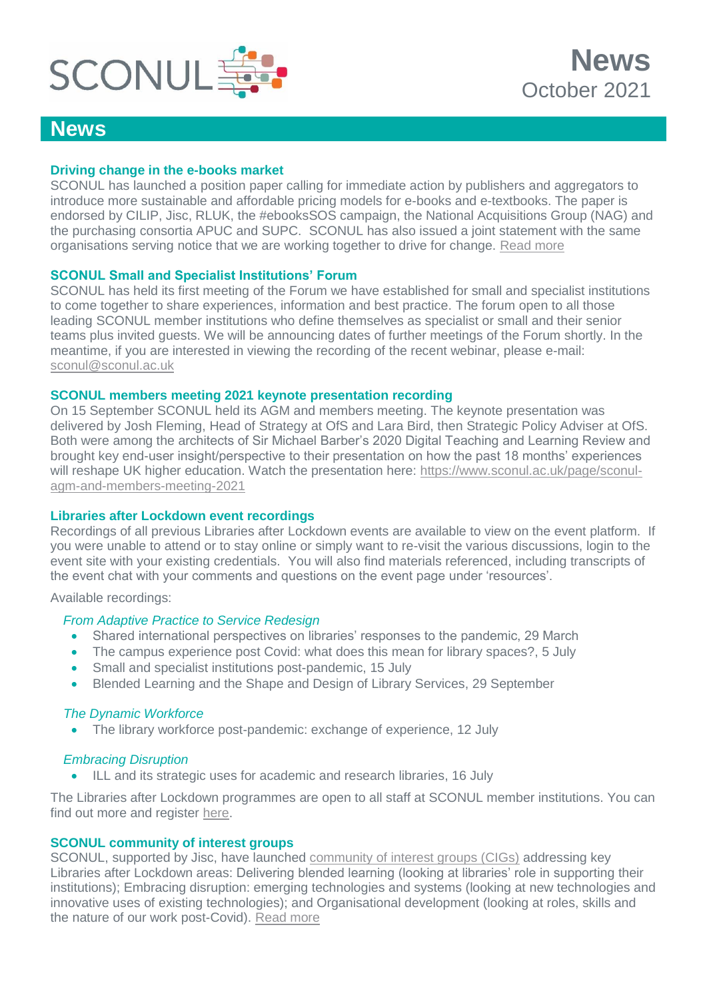

# **News**

### **Driving change in the e-books market**

SCONUL has launched a position paper calling for immediate action by publishers and aggregators to introduce more sustainable and affordable pricing models for e-books and e-textbooks. The paper is endorsed by CILIP, Jisc, RLUK, the #ebooksSOS campaign, the National Acquisitions Group (NAG) and the purchasing consortia APUC and SUPC. SCONUL has also issued a joint statement with the same organisations serving notice that we are working together to drive for change. [Read more](https://www.sconul.ac.uk/news/he-sector-unites-in-call-for-affordable-pricing-models-for-e-books-and-e-textbooks)

#### **SCONUL Small and Specialist Institutions' Forum**

SCONUL has held its first meeting of the Forum we have established for small and specialist institutions to come together to share experiences, information and best practice. The forum open to all those leading SCONUL member institutions who define themselves as specialist or small and their senior teams plus invited guests. We will be announcing dates of further meetings of the Forum shortly. In the meantime, if you are interested in viewing the recording of the recent webinar, please e-mail: [sconul@sconul.ac.uk](mailto:sconul@sconul.ac.uk)

#### **SCONUL members meeting 2021 keynote presentation recording**

On 15 September SCONUL held its AGM and members meeting. The keynote presentation was delivered by Josh Fleming, Head of Strategy at OfS and Lara Bird, then Strategic Policy Adviser at OfS. Both were among the architects of Sir Michael Barber's 2020 Digital Teaching and Learning Review and brought key end-user insight/perspective to their presentation on how the past 18 months' experiences will reshape UK higher education. Watch the presentation here: [https://www.sconul.ac.uk/page/sconul](https://www.sconul.ac.uk/page/sconul-agm-and-members-meeting-2021)[agm-and-members-meeting-2021](https://www.sconul.ac.uk/page/sconul-agm-and-members-meeting-2021)

# **Libraries after Lockdown event recordings**

Recordings of all previous Libraries after Lockdown events are available to view on the event platform. If you were unable to attend or to stay online or simply want to re-visit the various discussions, login to the event site with your existing credentials. You will also find materials referenced, including transcripts of the event chat with your comments and questions on the event page under 'resources'.

Available recordings:

#### *From Adaptive Practice to Service Redesign*

- Shared international perspectives on libraries' responses to the pandemic, 29 March
- The campus experience post Covid: what does this mean for library spaces?, 5 July
- Small and specialist institutions post-pandemic, 15 July
- Blended Learning and the Shape and Design of Library Services, 29 September

#### *The Dynamic Workforce*

• The library workforce post-pandemic: exchange of experience, 12 July

#### *Embracing Disruption*

ILL and its strategic uses for academic and research libraries, 16 July

The Libraries after Lockdown programmes are open to all staff at SCONUL member institutions. You can find out more and register [here.](https://www.sconul.ac.uk/page/libraries-after-lockdown-a-virtual-collaboration)

#### **SCONUL community of interest groups**

SCONUL, supported by Jisc, have launched [community of interest groups \(CIGs\)](https://www.sconul.ac.uk/page/community-of-interest-groups) addressing key Libraries after Lockdown areas: Delivering blended learning (looking at libraries' role in supporting their institutions); Embracing disruption: emerging technologies and systems (looking at new technologies and innovative uses of existing technologies); and Organisational development (looking at roles, skills and the nature of our work post-Covid). [Read more](https://www.sconul.ac.uk/page/community-of-interest-groups)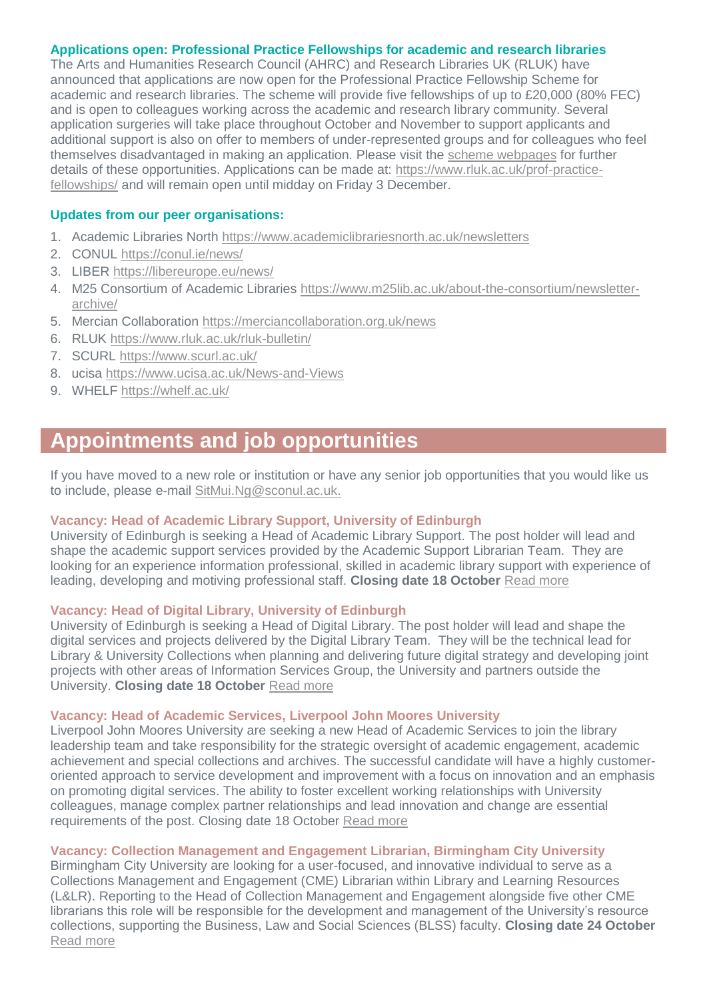#### **Applications open: Professional Practice Fellowships for academic and research libraries**

The Arts and Humanities Research Council (AHRC) and Research Libraries UK (RLUK) have announced that applications are now open for the Professional Practice Fellowship Scheme for academic and research libraries. The scheme will provide five fellowships of up to £20,000 (80% FEC) and is open to colleagues working across the academic and research library community. Several application surgeries will take place throughout October and November to support applicants and additional support is also on offer to members of under-represented groups and for colleagues who feel themselves disadvantaged in making an application. Please visit the [scheme webpages](https://www.rluk.ac.uk/prof-practice-fellowships/#surgeries) for further details of these opportunities. Applications can be made at: [https://www.rluk.ac.uk/prof-practice](https://www.rluk.ac.uk/prof-practice-fellowships/)[fellowships/](https://www.rluk.ac.uk/prof-practice-fellowships/) and will remain open until midday on Friday 3 December.

#### **Updates from our peer organisations:**

- 1. Academic Libraries North<https://www.academiclibrariesnorth.ac.uk/newsletters>
- 2. CONUL<https://conul.ie/news/>
- 3. LIBER<https://libereurope.eu/news/>
- 4. M25 Consortium of Academic Libraries [https://www.m25lib.ac.uk/about-the-consortium/newsletter](https://www.m25lib.ac.uk/about-the-consortium/newsletter-archive/)[archive/](https://www.m25lib.ac.uk/about-the-consortium/newsletter-archive/)
- 5. Mercian Collaboration <https://merciancollaboration.org.uk/news>
- 6. RLUK<https://www.rluk.ac.uk/rluk-bulletin/>
- 7. SCURL<https://www.scurl.ac.uk/>
- 8. ucisa<https://www.ucisa.ac.uk/News-and-Views>
- 9. WHELF <https://whelf.ac.uk/>

# **Appointments and job opportunities**

If you have moved to a new role or institution or have any senior job opportunities that you would like us to include, please e-mail [SitMui.Ng@sconul.ac.uk.](mailto:SitMui.Ng@sconul.ac.uk)

#### **Vacancy: Head of Academic Library Support, University of Edinburgh**

University of Edinburgh is seeking a Head of Academic Library Support. The post holder will lead and shape the academic support services provided by the Academic Support Librarian Team. They are looking for an experience information professional, skilled in academic library support with experience of leading, developing and motiving professional staff. **Closing date 18 October** [Read more](https://elxw.fa.em3.oraclecloud.com/hcmUI/CandidateExperience/en/sites/CX_1001/job/2081/?utm_medium=jobshare)

#### **Vacancy: Head of Digital Library, University of Edinburgh**

University of Edinburgh is seeking a Head of Digital Library. The post holder will lead and shape the digital services and projects delivered by the Digital Library Team. They will be the technical lead for Library & University Collections when planning and delivering future digital strategy and developing joint projects with other areas of Information Services Group, the University and partners outside the University. **Closing date 18 October** [Read more](https://elxw.fa.em3.oraclecloud.com/hcmUI/CandidateExperience/en/sites/CX_1001/job/2017/?utm_medium=jobshare)

#### **Vacancy: Head of Academic Services, Liverpool John Moores University**

Liverpool John Moores University are seeking a new Head of Academic Services to join the library leadership team and take responsibility for the strategic oversight of academic engagement, academic achievement and special collections and archives. The successful candidate will have a highly customeroriented approach to service development and improvement with a focus on innovation and an emphasis on promoting digital services. The ability to foster excellent working relationships with University colleagues, manage complex partner relationships and lead innovation and change are essential requirements of the post. Closing date 18 October [Read more](https://jobs.ljmu.ac.uk/vacancy/head-of-academic-services-459796.html)

#### **Vacancy: Collection Management and Engagement Librarian, Birmingham City University**

Birmingham City University are looking for a user-focused, and innovative individual to serve as a Collections Management and Engagement (CME) Librarian within Library and Learning Resources (L&LR). Reporting to the Head of Collection Management and Engagement alongside five other CME librarians this role will be responsible for the development and management of the University's resource collections, supporting the Business, Law and Social Sciences (BLSS) faculty. **Closing date 24 October** [Read more](https://jobs.bcu.ac.uk/Vacancy.aspx?ref=092021-394)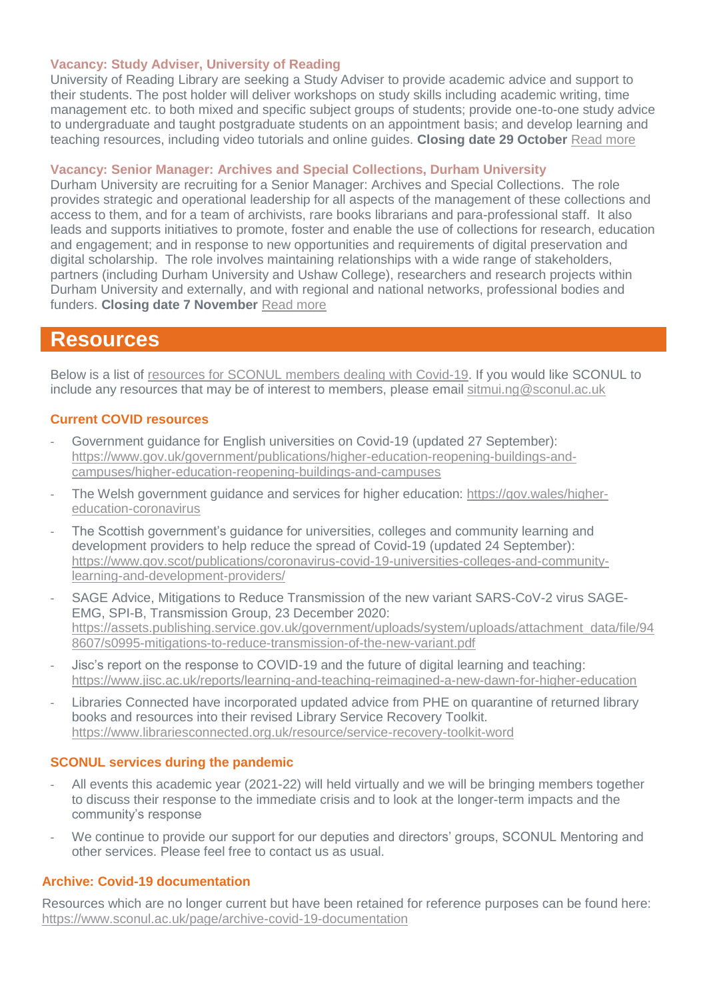#### **Vacancy: Study Adviser, University of Reading**

University of Reading Library are seeking a Study Adviser to provide academic advice and support to their students. The post holder will deliver workshops on study skills including academic writing, time management etc. to both mixed and specific subject groups of students; provide one-to-one study advice to undergraduate and taught postgraduate students on an appointment basis; and develop learning and teaching resources, including video tutorials and online guides. **Closing date 29 October** [Read more](https://jobs.reading.ac.uk/displayjob.aspx?jobid=8554)

### **Vacancy: Senior Manager: Archives and Special Collections, Durham University**

Durham University are recruiting for a Senior Manager: Archives and Special Collections. The role provides strategic and operational leadership for all aspects of the management of these collections and access to them, and for a team of archivists, rare books librarians and para-professional staff. It also leads and supports initiatives to promote, foster and enable the use of collections for research, education and engagement; and in response to new opportunities and requirements of digital preservation and digital scholarship. The role involves maintaining relationships with a wide range of stakeholders, partners (including Durham University and Ushaw College), researchers and research projects within Durham University and externally, and with regional and national networks, professional bodies and funders. **Closing date 7 November** [Read more](https://durham.taleo.net/careersection/du_ext/jobdetail.ftl?job=21001231&tz=GMT%2B01%3A00&tzname=Europe%2FLondon)

# **Resources**

Below is a list of [resources for SCONUL members dealing with Covid-19.](https://www.sconul.ac.uk/page/resources-for-sconul-members-dealing-with-covid-19) If you would like SCONUL to include any resources that may be of interest to members, please email [sitmui.ng@sconul.ac.uk](mailto:sitmui.ng@sconul.ac.uk)

# **Current COVID resources**

- Government guidance for English universities on Covid-19 (updated 27 September): [https://www.gov.uk/government/publications/higher-education-reopening-buildings-and](https://www.gov.uk/government/publications/higher-education-reopening-buildings-and-campuses/higher-education-reopening-buildings-and-campuses)[campuses/higher-education-reopening-buildings-and-campuses](https://www.gov.uk/government/publications/higher-education-reopening-buildings-and-campuses/higher-education-reopening-buildings-and-campuses)
- The Welsh government guidance and services for higher education: [https://gov.wales/higher](https://gov.wales/higher-education-coronavirus)[education-coronavirus](https://gov.wales/higher-education-coronavirus)
- The Scottish government's guidance for universities, colleges and community learning and development providers to help reduce the spread of Covid-19 (updated 24 September): [https://www.gov.scot/publications/coronavirus-covid-19-universities-colleges-and-community](https://www.gov.scot/publications/coronavirus-covid-19-universities-colleges-and-community-learning-and-development-providers/)[learning-and-development-providers/](https://www.gov.scot/publications/coronavirus-covid-19-universities-colleges-and-community-learning-and-development-providers/)
- SAGE Advice, Mitigations to Reduce Transmission of the new variant SARS-CoV-2 virus SAGE-EMG, SPI-B, Transmission Group, 23 December 2020: [https://assets.publishing.service.gov.uk/government/uploads/system/uploads/attachment\\_data/file/94](https://assets.publishing.service.gov.uk/government/uploads/system/uploads/attachment_data/file/948607/s0995-mitigations-to-reduce-transmission-of-the-new-variant.pdf) [8607/s0995-mitigations-to-reduce-transmission-of-the-new-variant.pdf](https://assets.publishing.service.gov.uk/government/uploads/system/uploads/attachment_data/file/948607/s0995-mitigations-to-reduce-transmission-of-the-new-variant.pdf)
- Jisc's report on the response to COVID-19 and the future of digital learning and teaching: <https://www.jisc.ac.uk/reports/learning-and-teaching-reimagined-a-new-dawn-for-higher-education>
- Libraries Connected have incorporated updated advice from PHE on quarantine of returned library books and resources into their revised Library Service Recovery Toolkit. <https://www.librariesconnected.org.uk/resource/service-recovery-toolkit-word>

# **SCONUL services during the pandemic**

- All events this academic year (2021-22) will held virtually and we will be bringing members together to discuss their response to the immediate crisis and to look at the longer-term impacts and the community's response
- We continue to provide our support for our deputies and directors' groups, SCONUL Mentoring and other services. Please feel free to contact us as usual.

# **Archive: Covid-19 documentation**

Resources which are no longer current but have been retained for reference purposes can be found here: <https://www.sconul.ac.uk/page/archive-covid-19-documentation>